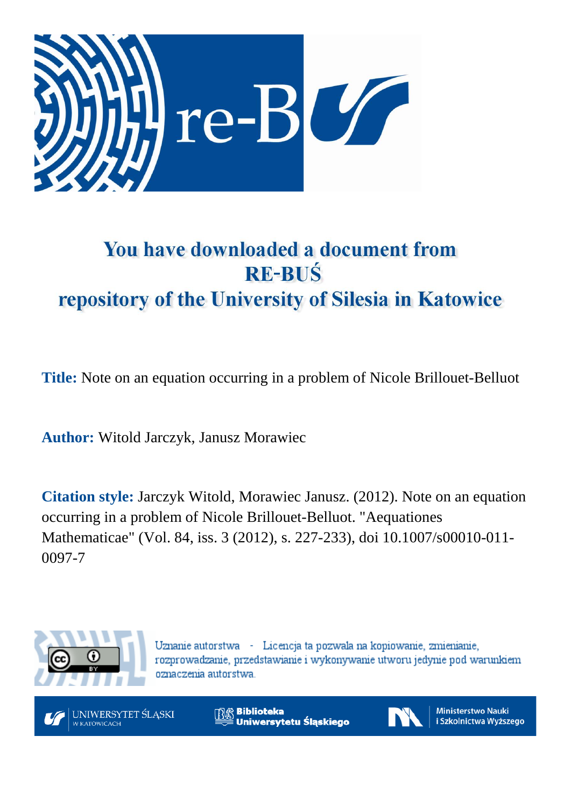

# You have downloaded a document from **RE-BUŚ** repository of the University of Silesia in Katowice

**Title:** Note on an equation occurring in a problem of Nicole Brillouet-Belluot

**Author:** Witold Jarczyk, Janusz Morawiec

**Citation style:** Jarczyk Witold, Morawiec Janusz. (2012). Note on an equation occurring in a problem of Nicole Brillouet-Belluot. ["Aequationes](https://www.scopus.com/sourceid/24573?origin=recordpage) [Mathematicae"](https://www.scopus.com/sourceid/24573?origin=recordpage) (Vol. 84, iss. 3 (2012), s. 227-233), doi 10.1007/s00010-011- 0097-7



Uznanie autorstwa - Licencja ta pozwala na kopiowanie, zmienianie, rozprowadzanie, przedstawianie i wykonywanie utworu jedynie pod warunkiem oznaczenia autorstwa.



**Biblioteka** Uniwersytetu Śląskiego



**Ministerstwo Nauki** i Szkolnictwa Wyższego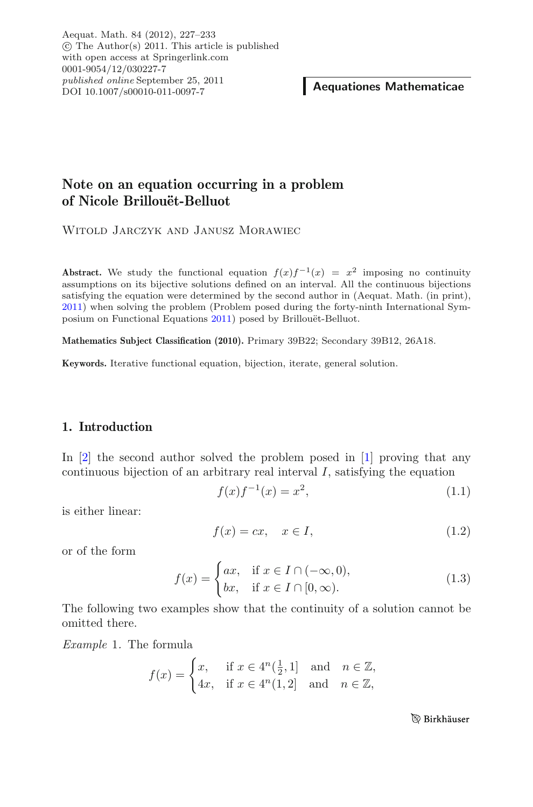Aequat. Math. 84 (2012), 227–233 -c The Author(s) 2011. This article is published with open access at Springerlink.com 0001-9054/12/030227-7 *published online* September 25, 2011

**Aequationes Mathematicae** 

## **Note on an equation occurring in a problem** of Nicole Brillouët-Belluot

Witold Jarczyk and Janusz Morawiec

**Abstract.** We study the functional equation  $f(x)f^{-1}(x) = x^2$  imposing no continuity assumptions on its bijective solutions defined on an interval. All the continuous bijections satisfying the equation were determined by the second author in (Aequat. Math. (in print), [2011\)](#page-7-0) when solving the problem (Problem posed during the forty-ninth International Sym-posium on Functional Equations [2011\)](#page-7-1) posed by Brillouët-Belluot.

**Mathematics Subject Classification (2010).** Primary 39B22; Secondary 39B12, 26A18.

**Keywords.** Iterative functional equation, bijection, iterate, general solution.

### **1. Introduction**

In [\[2\]](#page-7-0) the second author solved the problem posed in [\[1](#page-7-1)] proving that any continuous bijection of an arbitrary real interval *I*, satisfying the equation

$$
f(x)f^{-1}(x) = x^2,
$$
\n(1.1)

<span id="page-1-0"></span>is either linear:

$$
f(x) = cx, \quad x \in I,
$$
\n
$$
(1.2)
$$

<span id="page-1-3"></span>or of the form

<span id="page-1-2"></span>
$$
f(x) = \begin{cases} ax, & \text{if } x \in I \cap (-\infty, 0), \\ bx, & \text{if } x \in I \cap [0, \infty). \end{cases}
$$
 (1.3)

<span id="page-1-1"></span>The following two examples show that the continuity of a solution cannot be omitted there.

*Example* 1*.* The formula

$$
f(x) = \begin{cases} x, & \text{if } x \in 4^n(\frac{1}{2}, 1] \text{ and } n \in \mathbb{Z}, \\ 4x, & \text{if } x \in 4^n(1, 2] \text{ and } n \in \mathbb{Z}, \end{cases}
$$

**B** Birkhäuser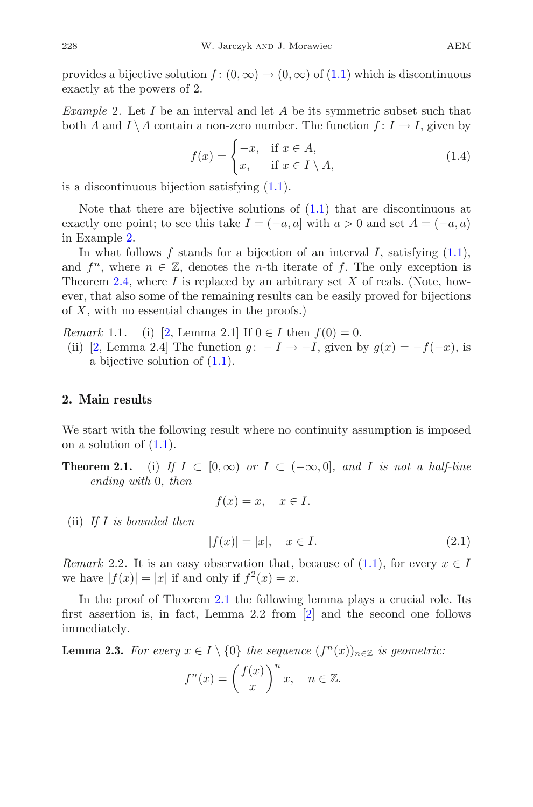provides a bijective solution  $f: (0, \infty) \to (0, \infty)$  of  $(1.1)$  which is discontinuous exactly at the powers of 2.

<span id="page-2-0"></span>*Example* 2*.* Let *I* be an interval and let *A* be its symmetric subset such that both *A* and  $I \setminus A$  contain a non-zero number. The function  $f: I \to I$ , given by

$$
f(x) = \begin{cases} -x, & \text{if } x \in A, \\ x, & \text{if } x \in I \setminus A, \end{cases}
$$
 (1.4)

<span id="page-2-4"></span>is a discontinuous bijection satisfying  $(1.1)$ .

Note that there are bijective solutions of  $(1.1)$  that are discontinuous at exactly one point; to see this take  $I = (-a, a]$  with  $a > 0$  and set  $A = (-a, a)$ in Example [2.](#page-2-0)

In what follows  $f$  stands for a bijection of an interval  $I$ , satisfying  $(1.1)$ , and  $f^n$ , where  $n \in \mathbb{Z}$ , denotes the *n*-th iterate of f. The only exception is Theorem [2.4,](#page-3-0) where *I* is replaced by an arbitrary set *X* of reals. (Note, however, that also some of the remaining results can be easily proved for bijections of *X*, with no essential changes in the proofs.)

<span id="page-2-2"></span>*Remark* 1.1. (i) [\[2](#page-7-0), Lemma 2.1] If  $0 \in I$  then  $f(0) = 0$ .

(ii) [\[2,](#page-7-0) Lemma 2.4] The function  $g: -I \rightarrow -I$ , given by  $g(x) = -f(-x)$ , is a bijective solution of [\(1.1\)](#page-1-0).

#### **2. Main results**

<span id="page-2-1"></span>We start with the following result where no continuity assumption is imposed on a solution of  $(1.1)$ .

**Theorem 2.1.** (i) If  $I \subset [0,\infty)$  or  $I \subset (-\infty,0]$ , and *I* is not a half-line *ending with* 0*, then*

$$
f(x) = x, \quad x \in I.
$$

<span id="page-2-5"></span>(ii) *If I is bounded then*

$$
|f(x)| = |x|, \quad x \in I.
$$
 (2.1)

<span id="page-2-6"></span>*Remark* 2.2. It is an easy observation that, because of  $(1.1)$ , for every  $x \in I$ we have  $|f(x)| = |x|$  if and only if  $f^2(x) = x$ .

In the proof of Theorem [2.1](#page-2-1) the following lemma plays a crucial role. Its first assertion is, in fact, Lemma 2.2 from [\[2](#page-7-0)] and the second one follows immediately.

<span id="page-2-3"></span>**Lemma 2.3.** *For every*  $x \in I \setminus \{0\}$  *the sequence*  $(f^{n}(x))_{n \in \mathbb{Z}}$  *is geometric:* 

$$
f^n(x) = \left(\frac{f(x)}{x}\right)^n x, \quad n \in \mathbb{Z}.
$$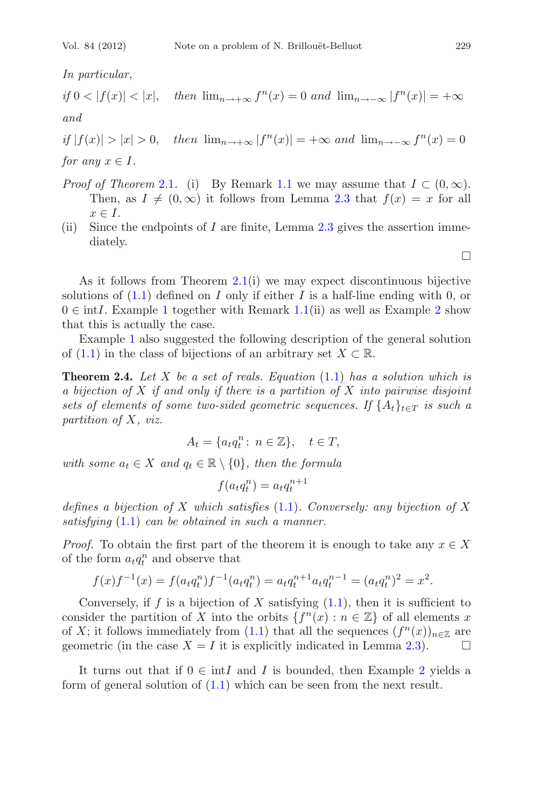*In particular,*

 $if$  0 < | $f(x)$ | < |x|*, then*  $\lim_{n \to \infty} f^{n}(x) = 0$  *and*  $\lim_{n \to \infty} |f^{n}(x)| = +\infty$ *and*

 $if |f(x)| > |x| > 0$ , then  $\lim_{n \to +\infty} |f^n(x)| = +\infty$  and  $\lim_{n \to -\infty} f^n(x) = 0$ *for any*  $x \in I$ *.* 

- *Proof of Theorem* [2.1](#page-2-1). (i) By Remark [1.1](#page-2-2) we may assume that  $I \subset (0,\infty)$ . Then, as  $I \neq (0, \infty)$  it follows from Lemma [2.3](#page-2-3) that  $f(x) = x$  for all  $x \in I$ .
- (ii) Since the endpoints of *I* are finite, Lemma [2.3](#page-2-3) gives the assertion immediately.

As it follows from Theorem  $2.1(i)$  $2.1(i)$  we may expect discontinuous bijective solutions of [\(1.1\)](#page-1-0) defined on *I* only if either *I* is a half-line ending with 0, or  $0 \in \text{int}I$ . Example [1](#page-1-1) together with Remark [1.1\(](#page-2-2)ii) as well as Example [2](#page-2-0) show that this is actually the case.

<span id="page-3-0"></span>Example [1](#page-1-1) also suggested the following description of the general solution of  $(1.1)$  in the class of bijections of an arbitrary set  $X \subset \mathbb{R}$ .

**Theorem 2.4.** *Let X be a set of reals. Equation* [\(1.1\)](#page-1-0) *has a solution which is a bijection of X if and only if there is a partition of X into pairwise disjoint sets of elements of some two-sided geometric sequences. If*  $\{A_t\}_{t \in T}$  *is such a partition of X, viz.*

$$
A_t = \{a_t q_t^n : n \in \mathbb{Z}\}, \quad t \in T,
$$

*with some*  $a_t \in X$  *and*  $q_t \in \mathbb{R} \setminus \{0\}$ *, then the formula* 

$$
f(a_t q_t^n) = a_t q_t^{n+1}
$$

*defines a bijection of X which satisfies* [\(1.1\)](#page-1-0)*. Conversely: any bijection of X satisfying* [\(1.1\)](#page-1-0) *can be obtained in such a manner.*

*Proof.* To obtain the first part of the theorem it is enough to take any  $x \in X$ of the form  $a_t q_t^n$  and observe that

$$
f(x)f^{-1}(x) = f(a_t q_t^n) f^{-1}(a_t q_t^n) = a_t q_t^{n+1} a_t q_t^{n-1} = (a_t q_t^n)^2 = x^2.
$$

Conversely, if  $f$  is a bijection of  $X$  satisfying  $(1.1)$ , then it is sufficient to consider the partition of *X* into the orbits  $\{f^{n}(x) : n \in \mathbb{Z}\}\)$  of all elements *x* of *X*; it follows immediately from [\(1.1\)](#page-1-0) that all the sequences  $(f^{n}(x))_{n\in\mathbb{Z}}$  are geometric (in the case  $X = I$  it is explicitly indicated in Lemma [2.3\)](#page-2-3).  $\Box$ 

It turns out that if  $0 \in \text{int}I$  and *I* is bounded, then Example [2](#page-2-0) yields a form of general solution of  $(1.1)$  which can be seen from the next result.

 $\Box$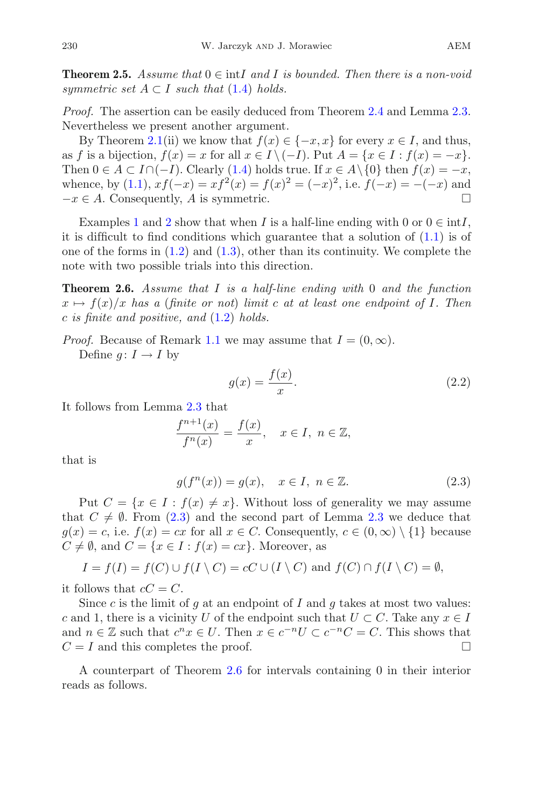**Theorem 2.5.** *Assume that*  $0 \in \text{int}I$  *and I is bounded. Then there is a non-void symmetric set*  $A \subset I$  *such that* [\(1.4\)](#page-2-4) *holds.* 

*Proof.* The assertion can be easily deduced from Theorem [2.4](#page-3-0) and Lemma [2.3.](#page-2-3) Nevertheless we present another argument.

By Theorem [2.1\(](#page-2-1)ii) we know that  $f(x) \in \{-x, x\}$  for every  $x \in I$ , and thus, as *f* is a bijection,  $f(x) = x$  for all  $x \in I \setminus (-I)$ . Put  $A = \{x \in I : f(x) = -x\}$ . Then  $0 \in A \subset I \cap (-I)$ . Clearly [\(1.4\)](#page-2-4) holds true. If  $x \in A \setminus \{0\}$  then  $f(x) = -x$ , whence, by [\(1.1\)](#page-1-0),  $xf(-x) = xf^{2}(x) = f(x)^{2} = (-x)^{2}$ , i.e.  $f(-x) = -(-x)$  and  $-x \in A$ . Consequently, *A* is symmetric.  $\square$ 

Examples [1](#page-1-1) and [2](#page-2-0) show that when *I* is a half-line ending with 0 or  $0 \in \text{int}I$ , it is difficult to find conditions which guarantee that a solution of [\(1.1\)](#page-1-0) is of one of the forms in  $(1.2)$  and  $(1.3)$ , other than its continuity. We complete the note with two possible trials into this direction.

<span id="page-4-1"></span>**Theorem 2.6.** *Assume that I is a half-line ending with* 0 *and the function*  $x \mapsto f(x)/x$  *has a* (*finite or not*) *limit c at at least one endpoint of I. Then c is finite and positive, and* [\(1.2\)](#page-1-2) *holds.*

*Proof.* Because of Remark [1.1](#page-2-2) we may assume that  $I = (0, \infty)$ .

Define  $q: I \to I$  by

$$
g(x) = \frac{f(x)}{x}.\tag{2.2}
$$

It follows from Lemma [2.3](#page-2-3) that

<span id="page-4-2"></span>
$$
\frac{f^{n+1}(x)}{f^n(x)} = \frac{f(x)}{x}, \quad x \in I, \ n \in \mathbb{Z},
$$

<span id="page-4-0"></span>that is

$$
g(f^{n}(x)) = g(x), \quad x \in I, \ n \in \mathbb{Z}.
$$
\n
$$
(2.3)
$$

Put  $C = \{x \in I : f(x) \neq x\}$ . Without loss of generality we may assume that  $C \neq \emptyset$ . From [\(2.3\)](#page-4-0) and the second part of Lemma [2.3](#page-2-3) we deduce that  $g(x) = c$ , i.e.  $f(x) = cx$  for all  $x \in C$ . Consequently,  $c \in (0, \infty) \setminus \{1\}$  because  $C \neq \emptyset$ , and  $C = \{x \in I : f(x) = cx\}$ . Moreover, as

$$
I = f(I) = f(C) \cup f(I \setminus C) = cC \cup (I \setminus C) \text{ and } f(C) \cap f(I \setminus C) = \emptyset,
$$

it follows that  $cC = C$ .

Since *c* is the limit of *g* at an endpoint of *I* and *g* takes at most two values: *c* and 1, there is a vicinity *U* of the endpoint such that  $U \subset C$ . Take any  $x \in I$ and  $n \in \mathbb{Z}$  such that  $c^n x \in U$ . Then  $x \in c^{-n}U \subset c^{-n}C = C$ . This shows that  $C = I$  and this completes the proof.  $\Box$ 

<span id="page-4-3"></span>A counterpart of Theorem [2.6](#page-4-1) for intervals containing 0 in their interior reads as follows.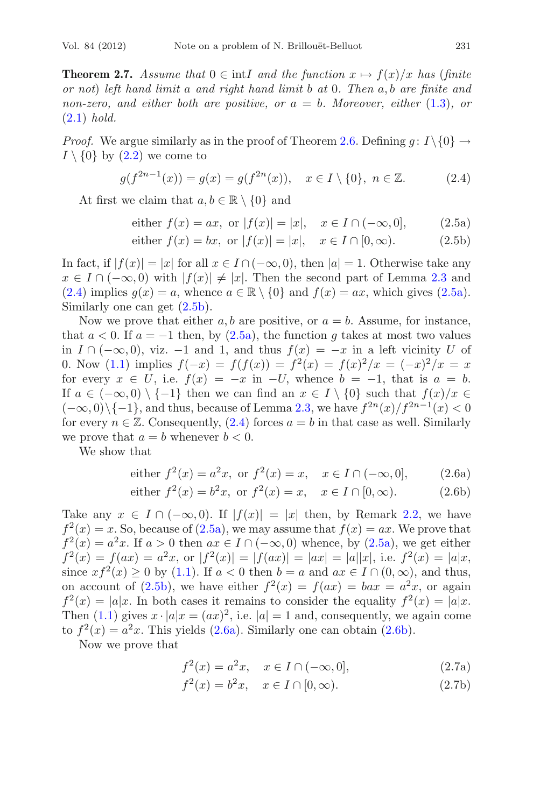**Theorem 2.7.** *Assume that*  $0 \in \text{int}I$  *and the function*  $x \mapsto f(x)/x$  *has* (*finite or not*) *left hand limit a and right hand limit b at* 0*. Then a, b are finite and non-zero, and either both are positive, or*  $a = b$ *. Moreover, either* [\(1.3\)](#page-1-3)*, or* [\(2.1\)](#page-2-5) *hold.*

<span id="page-5-0"></span>*Proof.* We argue similarly as in the proof of Theorem [2.6.](#page-4-1) Defining  $g: I \setminus \{0\} \rightarrow$  $I \setminus \{0\}$  by  $(2.2)$  we come to

$$
g(f^{2n-1}(x)) = g(x) = g(f^{2n}(x)), \quad x \in I \setminus \{0\}, \ n \in \mathbb{Z}.
$$
 (2.4)

<span id="page-5-1"></span>At first we claim that  $a, b \in \mathbb{R} \setminus \{0\}$  and

either 
$$
f(x) = ax
$$
, or  $|f(x)| = |x|$ ,  $x \in I \cap (-\infty, 0]$ , (2.5a)

either 
$$
f(x) = bx
$$
, or  $|f(x)| = |x|$ ,  $x \in I \cap [0, \infty)$ . (2.5b)

In fact, if  $|f(x)| = |x|$  for all  $x \in I \cap (-\infty, 0)$ , then  $|a| = 1$ . Otherwise take any *x* ∈ *I* ∩ (−∞*,* 0) with  $|f(x)| \neq |x|$ . Then the second part of Lemma [2.3](#page-2-3) and [\(2.4\)](#page-5-0) implies  $g(x) = a$ , whence  $a \in \mathbb{R} \setminus \{0\}$  and  $f(x) = ax$ , which gives [\(2.5a\)](#page-5-1). Similarly one can get  $(2.5b)$ .

Now we prove that either  $a, b$  are positive, or  $a = b$ . Assume, for instance, that  $a < 0$ . If  $a = -1$  then, by  $(2.5a)$ , the function q takes at most two values in *I* ∩ (−∞*,* 0), viz. −1 and 1, and thus *f*(*x*) = −*x* in a left vicinity *U* of 0. Now [\(1.1\)](#page-1-0) implies  $f(-x) = f(f(x)) = f^{2}(x) = f(x)^{2}/x = (-x)^{2}/x = x$ for every  $x \in U$ , i.e.  $f(x) = -x$  in  $-U$ , whence  $b = -1$ , that is  $a = b$ . If  $a \in (-\infty, 0) \setminus \{-1\}$  then we can find an  $x \in I \setminus \{0\}$  such that  $f(x)/x \in$  $(-\infty, 0) \setminus \{-1\}$ , and thus, because of Lemma [2.3,](#page-2-3) we have  $f^{2n}(x)/f^{2n-1}(x) < 0$ for every  $n \in \mathbb{Z}$ . Consequently, [\(2.4\)](#page-5-0) forces  $a = b$  in that case as well. Similarly we prove that  $a = b$  whenever  $b < 0$ .

<span id="page-5-2"></span>We show that

either 
$$
f^2(x) = a^2x
$$
, or  $f^2(x) = x$ ,  $x \in I \cap (-\infty, 0]$ , (2.6a)

either 
$$
f^2(x) = b^2x
$$
, or  $f^2(x) = x$ ,  $x \in I \cap [0, \infty)$ . (2.6b)

Take any  $x \in I \cap (-\infty, 0)$ . If  $|f(x)| = |x|$  then, by Remark [2.2,](#page-2-6) we have  $f^{2}(x) = x$ . So, because of [\(2.5a\)](#page-5-1), we may assume that  $f(x) = ax$ . We prove that  $f^{2}(x) = a^{2}x$ . If  $a > 0$  then  $ax \in I \cap (-\infty, 0)$  whence, by  $(2.5a)$ , we get either  $f^{2}(x) = f(ax) = a^{2}x$ , or  $|f^{2}(x)| = |f(ax)| = |ax| = |a||x|$ , i.e.  $f^{2}(x) = |a|x$ , since  $xf^2(x) \ge 0$  by [\(1.1\)](#page-1-0). If  $a < 0$  then  $b = a$  and  $ax \in I \cap (0, \infty)$ , and thus, on account of [\(2.5b\)](#page-5-1), we have either  $f^2(x) = f(ax) = bax = a^2x$ , or again  $f^{2}(x) = |a|x$ . In both cases it remains to consider the equality  $f^{2}(x) = |a|x$ . Then  $(1.1)$  gives  $x \cdot |a|x = (ax)^2$ , i.e.  $|a| = 1$  and, consequently, we again come to  $f^2(x) = a^2x$ . This yields  $(2.6a)$ . Similarly one can obtain  $(2.6b)$ .

<span id="page-5-3"></span>Now we prove that

$$
f^{2}(x) = a^{2}x, \quad x \in I \cap (-\infty, 0],
$$
\n(2.7a)

$$
f^{2}(x) = b^{2}x, \quad x \in I \cap [0, \infty).
$$
 (2.7b)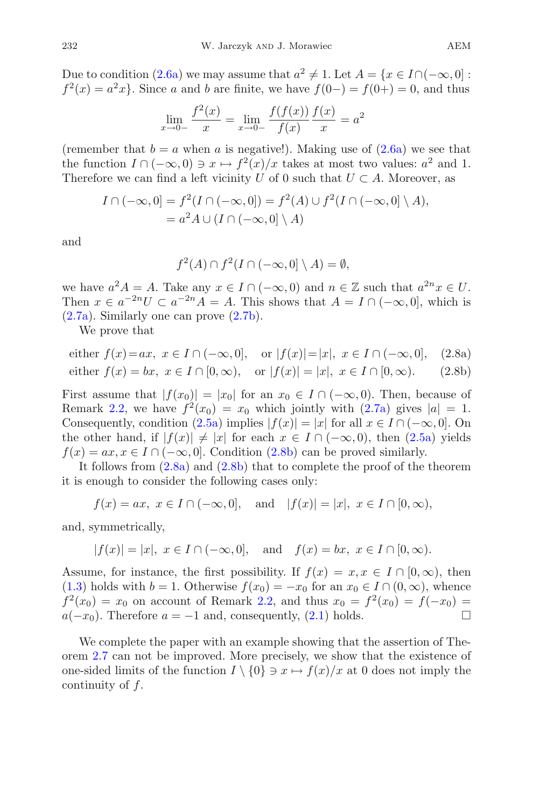Due to condition [\(2.6a\)](#page-5-2) we may assume that  $a^2 \neq 1$ . Let  $A = \{x \in I \cap (-\infty, 0] :$  $f^{2}(x) = a^{2}x$ . Since *a* and *b* are finite, we have  $f(0-) = f(0+) = 0$ , and thus

$$
\lim_{x \to 0-} \frac{f^2(x)}{x} = \lim_{x \to 0-} \frac{f(f(x))}{f(x)} \frac{f(x)}{x} = a^2
$$

(remember that  $b = a$  when *a* is negative!). Making use of  $(2.6a)$  we see that the function  $I \cap (-\infty, 0) \ni x \mapsto f^2(x)/x$  takes at most two values:  $a^2$  and 1. Therefore we can find a left vicinity *U* of 0 such that  $U \subset A$ . Moreover, as

$$
I \cap (-\infty, 0] = f^2(I \cap (-\infty, 0]) = f^2(A) \cup f^2(I \cap (-\infty, 0] \setminus A),
$$
  
=  $a^2 A \cup (I \cap (-\infty, 0] \setminus A)$ 

and

$$
f^2(A) \cap f^2(I \cap (-\infty, 0] \setminus A) = \emptyset,
$$

we have  $a^2A = A$ . Take any  $x \in I \cap (-\infty, 0)$  and  $n \in \mathbb{Z}$  such that  $a^{2n}x \in U$ . Then  $x \in a^{-2n}U \subset a^{-2n}A = A$ . This shows that  $A = I \cap (-\infty, 0]$ , which is [\(2.7a\)](#page-5-3). Similarly one can prove [\(2.7b\)](#page-5-3).

We prove that

<span id="page-6-0"></span>either 
$$
f(x) = ax
$$
,  $x \in I \cap (-\infty, 0]$ , or  $|f(x)| = |x|$ ,  $x \in I \cap (-\infty, 0]$ , (2.8a)  
either  $f(x) = bx$ ,  $x \in I \cap [0, \infty)$ , or  $|f(x)| = |x|$ ,  $x \in I \cap [0, \infty)$ . (2.8b)

First assume that  $|f(x_0)| = |x_0|$  for an  $x_0 \in I \cap (-\infty, 0)$ . Then, because of Remark [2.2,](#page-2-6) we have  $f^2(x_0) = x_0$  which jointly with  $(2.7a)$  gives  $|a| = 1$ . Consequently, condition  $(2.5a)$  implies  $|f(x)| = |x|$  for all  $x \in I \cap (-\infty, 0]$ . On the other hand, if  $|f(x)| \neq |x|$  for each  $x \in I \cap (-\infty, 0)$ , then [\(2.5a\)](#page-5-1) yields  $f(x) = ax, x \in I \cap (-\infty, 0]$ . Condition [\(2.8b\)](#page-6-0) can be proved similarly.

It follows from  $(2.8a)$  and  $(2.8b)$  that to complete the proof of the theorem it is enough to consider the following cases only:

$$
f(x) = ax, x \in I \cap (-\infty, 0],
$$
 and  $|f(x)| = |x|, x \in I \cap [0, \infty),$ 

and, symmetrically,

$$
|f(x)| = |x|, x \in I \cap (-\infty, 0],
$$
 and  $f(x) = bx, x \in I \cap [0, \infty).$ 

Assume, for instance, the first possibility. If  $f(x) = x, x \in I \cap [0, \infty)$ , then [\(1.3\)](#page-1-3) holds with  $b = 1$ . Otherwise  $f(x_0) = -x_0$  for an  $x_0 \in I \cap (0, \infty)$ , whence  $f^{2}(x_{0}) = x_{0}$  on account of Remark [2.2,](#page-2-6) and thus  $x_{0} = f^{2}(x_{0}) = f(-x_{0}) = f(x_{0})$  $a(-x_0)$ . Therefore  $a = -1$  and, consequently, [\(2.1\)](#page-2-5) holds.  $\Box$ 

We complete the paper with an example showing that the assertion of Theorem [2.7](#page-4-3) can not be improved. More precisely, we show that the existence of one-sided limits of the function  $I \setminus \{0\} \ni x \mapsto f(x)/x$  at 0 does not imply the continuity of *f*.